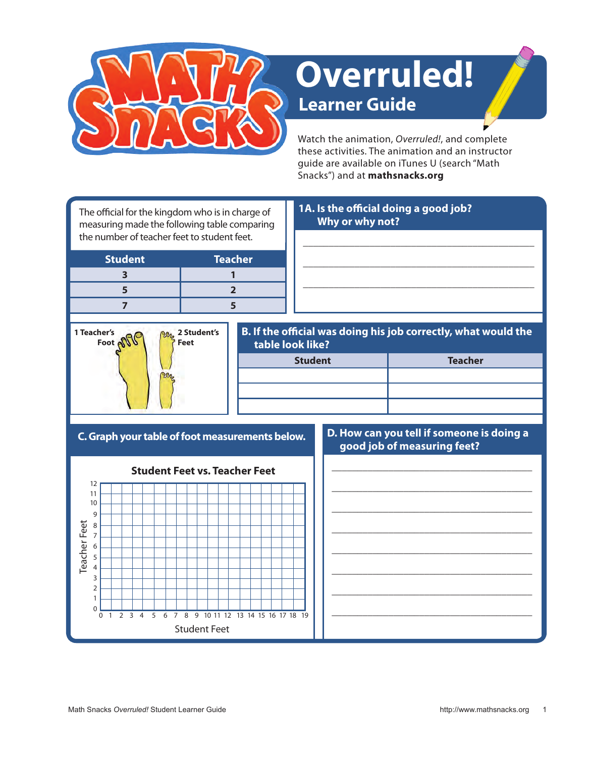

# **Learner Guide Overruled!**

Watch the animation, *Overruled!*, and complete these activities. The animation and an instructor guide are available on iTunes U (search "Math Snacks") and at **mathsnacks.org**

\_\_\_\_\_\_\_\_\_\_\_\_\_\_\_\_\_\_\_\_\_\_\_\_\_\_\_\_\_\_\_\_\_\_\_\_\_\_\_\_\_\_\_\_\_

\_\_\_\_\_\_\_\_\_\_\_\_\_\_\_\_\_\_\_\_\_\_\_\_\_\_\_\_\_\_\_\_\_\_\_\_\_\_\_\_\_\_\_\_\_

\_\_\_\_\_\_\_\_\_\_\_\_\_\_\_\_\_\_\_\_\_\_\_\_\_\_\_\_\_\_\_\_\_\_\_\_\_\_\_\_\_\_\_\_\_

The official for the kingdom who is in charge of measuring made the following table comparing the number of teacher feet to student feet.

| <b>Student</b> | <b>Teacher</b> |  |
|----------------|----------------|--|
|                |                |  |
|                |                |  |
|                |                |  |

## **1A. Is the official doing a good job? Why or why not?**

**1 Teacher's**  Foot **off 2 Student's Feet**

## **B. If the official was doing his job correctly, what would the table look like?**

| <b>Student</b> | <b>Teacher</b> |  |
|----------------|----------------|--|
|                |                |  |
|                |                |  |
|                |                |  |

**C. Graph your table of foot measurements below.**



#### **D. How can you tell if someone is doing a good job of measuring feet?**

\_\_\_\_\_\_\_\_\_\_\_\_\_\_\_\_\_\_\_\_\_\_\_\_\_\_\_\_\_\_\_\_\_\_\_\_\_\_\_ \_\_\_\_\_\_\_\_\_\_\_\_\_\_\_\_\_\_\_\_\_\_\_\_\_\_\_\_\_\_\_\_\_\_\_\_\_\_\_ \_\_\_\_\_\_\_\_\_\_\_\_\_\_\_\_\_\_\_\_\_\_\_\_\_\_\_\_\_\_\_\_\_\_\_\_\_\_\_ \_\_\_\_\_\_\_\_\_\_\_\_\_\_\_\_\_\_\_\_\_\_\_\_\_\_\_\_\_\_\_\_\_\_\_\_\_\_\_ \_\_\_\_\_\_\_\_\_\_\_\_\_\_\_\_\_\_\_\_\_\_\_\_\_\_\_\_\_\_\_\_\_\_\_\_\_\_\_ \_\_\_\_\_\_\_\_\_\_\_\_\_\_\_\_\_\_\_\_\_\_\_\_\_\_\_\_\_\_\_\_\_\_\_\_\_\_\_ \_\_\_\_\_\_\_\_\_\_\_\_\_\_\_\_\_\_\_\_\_\_\_\_\_\_\_\_\_\_\_\_\_\_\_\_\_\_\_ \_\_\_\_\_\_\_\_\_\_\_\_\_\_\_\_\_\_\_\_\_\_\_\_\_\_\_\_\_\_\_\_\_\_\_\_\_\_\_